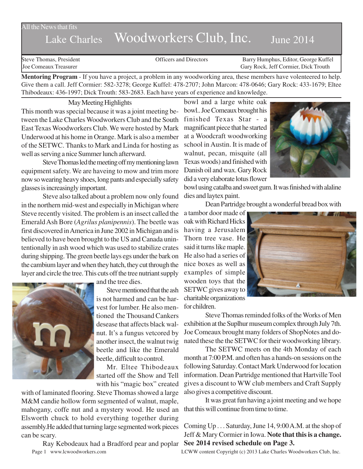#### All the News that fits

# Lake Charles Woodworkers Club, Inc. June 2014

Steve Thomas, President The Steve Thomas, President Contractors Conficers and Directors Barry Humphus, Editor, George Kuffel<br>Steve Configuration Carv Rock, Jeff Cormier, Dick Trouth Gary Rock, Jeff Cormier, Dick Trouth

**Mentoring Program** - If you have a project, a problem in any woodworking area, these members have volenteered to help. Give them a call. Jeff Cormier: 582-3278; George Kuffel: 478-2707; John Marcon: 478-0646; Gary Rock: 433-1679; Eltee Thibodeaux: 436-1997; Dick Trouth: 583-2683. Each have years of experience and knowledge.

May Meeting Highlights This month was special because it was a joint meeting between the Lake Charles Woodworkers Club and the South East Texas Woodworkers Club. We were hosted by Mark Underwood at his home in Orange. Mark is also a member of the SETWC. Thanks to Mark and Linda for hosting as well as serving a nice Summer lunch afterward.

Steve Thomas led the meeting off my mentioning lawn equipment safety. We are haveing to mow and trim more now so wearing heavy shoes, long pants and especially safety glasses is increasingly important.

Steve also talked about a problem now only found in the northern mid-west and especially in Michigan where Steve recently visited. The problem is an insect called the Emerald Ash Bore (*Agrilus planipennis*). The beetle was first discovered in America in June 2002 in Michigan and is believed to have been brought to the US and Canada unintentionally in ash wood which was used to stabilize crates during shipping. The green beetle lays egs under the bark on the cambium layer and when they hatch, they cut through the layer and circle the tree. This cuts off the tree nutriant supply



and the tree dies.

Steve mentioned that the ash is not harmed and can be harvest for lumber. He also mentioned the Thousand Cankers desease that affects black walnut. It's a fungus vetcored by another insect, the walnut twig beetle and like the Emerald beetle, difficult to control.

Mr. Eltee Thibodeaux started off the Show and Tell with his "magic box" created

with of laminated flooring. Steve Thomas showed a large M&M candie hollow form segmented of walnut, maple, mahogany, coffe nut and a mystery wood. He used an Elsworth chuck to hold everything together during assembly.He added that turning large segmented work pieces can be scary.

Ray Kebodeaux had a Bradford pear and poplar

bowl and a large white oak bowl.. Joe Comeaux brought his finished Texas Star - a magnificant piece that he started at a Woodcraft woodworking school in Austin. It is made of walnut, pecan, misquite (all Texas woods) and finished with Danish oil and wax. Gary Rock did a very elaborate lotus flower



bowl using catalba and sweet gum. It was finished with alaline dies and laytex paint.

Dean Partridge brought a wonderful bread box with

a tambor door made of oak with Richard Hicks having a Jerusalem Thorn tree vase. He said it turns like maple. He also had a series of nice boxes as well as examples of simple wooden toys that the SETWC gives away to charitable organizations for children.



Steve Thomas reminded folks of the Works of Men exhibition at the Suplhur museum complex through July 7th. Joe Comeaux brought many folders of ShopNotes and donated these the the SETWC for their woodworking library.

The SETWC meets on the 4th Monday of each month at 7:00 P.M. and often has a hands-on sessions on the following Saturday. Contact Mark Underwood for location information. Dean Partridge mentioned that Hartville Tool gives a discount to WW club members and Craft Supply also gives a competitive discount.

It was great fun having a joint meeting and we hope that this will continue from time to time.

Coming Up . . . Saturday, June 14, 9:00 A.M. at the shop of Jeff & Mary Cormier in Iowa. **Note that this is a change. See 2014 revised schedule on Page 3.**

Page 1 www.lcwoodworkers.com LCWW content Copyright (c) 2013 Lake Charles Woodworkers Club, Inc.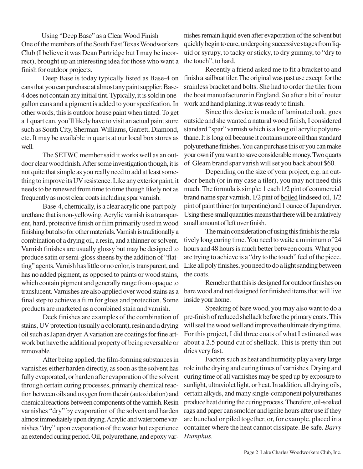Using "Deep Base" as a Clear Wood Finish One of the members of the South East Texas Woodworkers Club (I believe it was Dean Partridge but I may be incorrect), brought up an interesting idea for those who want a finish for outdoor projects.

Deep Base is today typically listed as Base-4 on cans that you can purchase at almost any paint supplier. Base-4 does not contain any initial tint. Typically, it is sold in onegallon cans and a pigment is added to your specifcation. In other words, this is outdoor house paint when tinted. To get a 1 quart can, you'll likely have to visit an actual paint store such as South City, Sherman-Williams, Garrett, Diamond, etc. It may be available in quarts at our local box stores as well.

The SETWC member said it works well as an outdoor clear wood finish. After some investigation though, it is not quite that simple as you really need to add at least something to improve its UV resistence. Like any exterior paint, it needs to be renewed from time to time though likely not as frequently as most clear coats including spar varnish.

Base-4, chemically, is a clear acrylic one-part polyurethane that is non-yellowing. Acrylic varnish is a transparent, hard, protective finish or film primarily used in wood finishing but also for other materials. Varnish is traditionally a combination of a drying oil, a resin, and a thinner or solvent. Varnish finishes are usually glossy but may be designed to produce satin or semi-gloss sheens by the addition of "flatting" agents. Varnish has little or no color, is transparent, and has no added pigment, as opposed to paints or wood stains, which contain pigment and generally range from opaque to translucent. Varnishes are also applied over wood stains as a final step to achieve a film for gloss and protection. Some products are marketed as a combined stain and varnish.

Deck finishes are examples of the combination of stains, UV protection (usually a colorant), resin and a drying oil such as Japan dryer. A variation are coatings for fine artwork but have the additional property of being reversable or removable.

After being applied, the film-forming substances in varnishes either harden directly, as soon as the solvent has fully evaporated, or harden after evaporation of the solvent through certain curing processes, primarily chemical reaction between oils and oxygen from the air (autoxidation) and chemical reactions between components of the varnish. Resin varnishes "dry" by evaporation of the solvent and harden almost immediately upon drying. Acrylic and waterborne varnishes "dry" upon evaporation of the water but experience an extended curing period. Oil, polyurethane, and epoxy varnishes remain liquid even after evaporation of the solvent but quickly begin to cure, undergoing successive stages from liquid or syrupy, to tacky or sticky, to dry gummy, to "dry to the touch", to hard.

Recently a friend asked me to fit a bracket to and finish a sailboat tiler. The original was past use except for the srainless bracket and bolts. She had to order the tiler from the boat manuafacturor in England. So after a bit of router work and hand planing, it was ready to finish.

Since this device is made of laminated oak, goes outside and she wanted a natural wood finish, I considered standard "spar" varnish which is a long oil acrylic polyurethane. It is long oil because it contains more oil than standard polyurethane finishes. You can purchase this or you can make your own if you want to save considerable money. Two quarts of Gleam brand spar varish will set you back about \$60.

Depending on the size of your project, e.g. an outdoor bench (or in my case a tiler), you may not need this much. The formula is simple: 1 each 1/2 pint of commercial brand name spar varnish, 1/2 pint of boiled lindseed oil, 1/2 pint of paint thiner (or turpentine) and 1 ounce of Japan dryer. Using these small quantities means that there will be a ralatively small amount of left over finish.

The main consideration of using this finish is the relatively long curing time. You need to waite a minimum of 24 hours and 48 hours is much better between coats. What you are trying to achieve is a "dry to the touch" feel of the piece. Like all poly finishes, you need to do a light sanding between the coats.

Remeber that this is designed for outdoor finishes on bare wood and not designed for finished items that will live inside your home.

Speaking of bare wood, you may also want to do a pre-finish of reduced shellack before the primary coats. This will seal the wood well and improve the ultimate drying time. For this project, I did three coats of what I estimated was about a 2.5 pound cut of shellack. This is pretty thin but dries very fast.

Factors such as heat and humidity play a very large role in the drying and curing times of varnishes. Drying and curing time of all varnishes may be sped up by exposure to sunlight, ultraviolet light, or heat. In addition, all drying oils, certain alkyds, and many single-component polyurethanes produce heat during the curing process. Therefore, oil-soaked rags and paper can smolder and ignite hours after use if they are bunched or piled together, or, for example, placed in a container where the heat cannot dissipate. Be safe. *Barry Humphus.*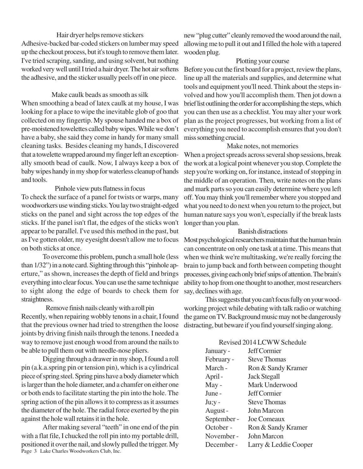# Hair dryer helps remove stickers

Adhesive-backed bar-coded stickers on lumber may speed up the checkout process, but it's tough to remove them later. I've tried scraping, sanding, and using solvent, but nothing worked very well until I tried a hair dryer. The hot air softens the adhesive, and the sticker usually peels off in one piece.

# Make caulk beads as smooth as silk

When smoothing a bead of latex caulk at my house, I was looking for a place to wipe the inevitable glob of goo that collected on my fingertip. My spouse handed me a box of pre-moistened towelettes called baby wipes. While we don't have a baby, she said they come in handy for many small cleaning tasks. Besides cleaning my hands, I discovered that a towelette wrapped around my finger left an exceptionally smooth bead of caulk. Now, I always keep a box of baby wipes handy in my shop for waterless cleanup of hands and tools.

# Pinhole view puts flatness in focus

To check the surface of a panel for twists or warps, many woodworkers use winding sticks. You lay two straight-edged sticks on the panel and sight across the top edges of the sticks. If the panel isn't flat, the edges of the sticks won't appear to be parallel. I've used this method in the past, but as I've gotten older, my eyesight doesn't allow me to focus Most psychological researchers maintain that the human brain on both sticks at once.

To overcome this problem, punch a small hole (less than 1/32") in a note card. Sighting through this "pinhole aperture," as shown, increases the depth of field and brings everything into clear focus. You can use the same technique to sight along the edge of boards to check them for straightness.

Remove finish nails cleanly with a roll pin Recently, when repairing wobbly tenons in a chair, I found that the previous owner had tried to strengthen the loose joints by driving finish nails through the tenons. I needed a way to remove just enough wood from around the nails to be able to pull them out with needle-nose pliers.

Digging through a drawer in my shop, I found a roll pin (a.k.a.spring pin or tension pin), which is a cylindrical piece of spring steel. Spring pins have a body diameter which is larger than the hole diameter, and a chamfer on either one or both ends to facilitate starting the pin into the hole. The spring action of the pin allows it to compress as it assumes the diameter of the hole. The radial force exerted by the pin against the hole wall retains it in the hole.

Page 3 Lake Charles Woodworkers Club, Inc. After making several "teeth" in one end of the pin with a flat file, I chucked the roll pin into my portable drill, positioned it over the nail, and slowly pulled the trigger. My new "plug cutter" cleanly removed the wood around the nail, allowing me to pull it out and I filled the hole with a tapered wooden plug.

#### Plotting your course

Before you cut the first board for a project, review the plans, line up all the materials and supplies, and determine what tools and equipment you'll need. Think about the steps involved and how you'll accomplish them. Then jot down a brief list outlining the order for accomplishing the steps, which you can then use as a checklist. You may alter your work plan as the project progresses, but working from a list of everything you need to accomplish ensures that you don't miss something crucial.

# Make notes, not memories

When a project spreads across several shop sessions, break the work at a logical point whenever you stop. Complete the step you're working on, for instance, instead of stopping in the middle of an operation. Then, write notes on the plans and mark parts so you can easily determine where you left off. You may think you'll remember where you stopped and what you need to do next when you return to the project, but human nature says you won't, especially if the break lasts longer than you plan.

#### Banish distractions

can concentrate on only one task at a time. This means that when we think we're multitasking, we're really forcing the brain to jump back and forth between competing thought processes, giving each only brief snips of attention. The brain's ability to hop from one thought to another, most researchers say, declines with age.

This suggests that you can't focus fully on your woodworking project while debating with talk radio or watching the game on TV. Background music may not be dangerously distracting, but beware if you find yourself singing along.

| Revised 2014 LCWW Schedule |                       |
|----------------------------|-----------------------|
| January -                  | <b>Jeff Cormier</b>   |
| February -                 | <b>Steve Thomas</b>   |
| March -                    | Ron & Sandy Kramer    |
| April -                    | <b>Jack Stegall</b>   |
| $May -$                    | Mark Underwood        |
| June -                     | <b>Jeff Cormier</b>   |
| $Ju$ ;y -                  | <b>Steve Thomas</b>   |
| August-                    | John Marcon           |
| September-                 | Joe Comeaux           |
| October -                  | Ron & Sandy Kramer    |
| November-                  | <b>John Marcon</b>    |
| December -                 | Larry & Leddie Cooper |